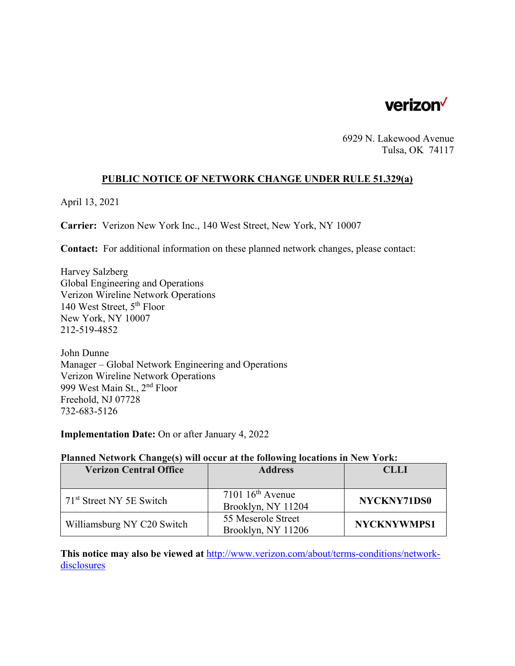

6929 N. Lakewood Avenue Tulsa, OK 74117

### **PUBLIC NOTICE OF NETWORK CHANGE UNDER RULE 51.329(a)**

April 13, 2021

**Carrier:** Verizon New York Inc., 140 West Street, New York, NY 10007

**Contact:** For additional information on these planned network changes, please contact:

Harvey Salzberg Global Engineering and Operations Verizon Wireline Network Operations 140 West Street, 5th Floor New York, NY 10007 212-519-4852

John Dunne Manager – Global Network Engineering and Operations Verizon Wireline Network Operations 999 West Main St., 2nd Floor Freehold, NJ 07728 732-683-5126

**Implementation Date:** On or after January 4, 2022

#### **Planned Network Change(s) will occur at the following locations in New York:**

| <b>Verizon Central Office</b>        | <b>Address</b>                           | <b>CLLI</b>        |
|--------------------------------------|------------------------------------------|--------------------|
|                                      |                                          |                    |
| 71 <sup>st</sup> Street NY 5E Switch | $7101~16th$ Avenue<br>Brooklyn, NY 11204 | NYCKNY71DS0        |
| Williamsburg NY C20 Switch           | 55 Meserole Street<br>Brooklyn, NY 11206 | <b>NYCKNYWMPS1</b> |

**This notice may also be viewed at** http://www.verizon.com/about/terms-conditions/networkdisclosures